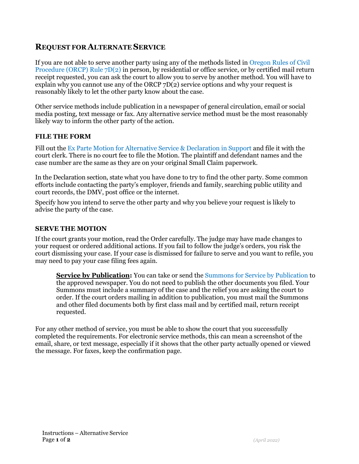# **REQUEST FOR ALTERNATE SERVICE**

If you are not able to serve another party using any of the methods listed in Oregon Rules of Civil [Procedure \(ORCP\) Rule 7D\(2\)](https://www.oregonlegislature.gov/bills_laws/Pages/orcp.aspx) in person, by residential or office service, or by certified mail return receipt requested, you can ask the court to allow you to serve by another method. You will have to explain why you cannot use any of the ORCP 7D(2) service options and why your request is reasonably likely to let the other party know about the case.

Other service methods include publication in a newspaper of general circulation, email or social media posting, text message or fax. Any alternative service method must be the most reasonably likely way to inform the other party of the action.

#### **FILE THE FORM**

Fill out the Ex Parte Motion for Alternative Service & Declaration in Support and file it with the court clerk. There is no court fee to file the Motion. The plaintiff and defendant names and the case number are the same as they are on your original Small Claim paperwork.

In the Declaration section, state what you have done to try to find the other party. Some common efforts include contacting the party's employer, friends and family, searching public utility and court records, the DMV, post office or the internet.

Specify how you intend to serve the other party and why you believe your request is likely to advise the party of the case.

#### **SERVE THE MOTION**

If the court grants your motion, read the Order carefully. The judge may have made changes to your request or ordered additional actions. If you fail to follow the judge's orders, you risk the court dismissing your case. If your case is dismissed for failure to serve and you want to refile, you may need to pay your case filing fees again.

**Service by Publication:** You can take or send the Summons for Service by Publication to the approved newspaper. You do not need to publish the other documents you filed. Your Summons must include a summary of the case and the relief you are asking the court to order. If the court orders mailing in addition to publication, you must mail the Summons and other filed documents both by first class mail and by certified mail, return receipt requested.

For any other method of service, you must be able to show the court that you successfully completed the requirements. For electronic service methods, this can mean a screenshot of the email, share, or text message, especially if it shows that the other party actually opened or viewed the message. For faxes, keep the confirmation page.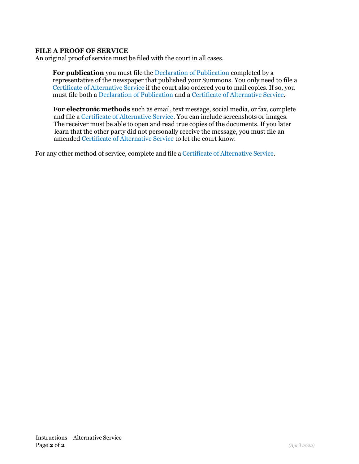#### **FILE A PROOF OF SERVICE**

An original proof of service must be filed with the court in all cases.

**For publication** you must file the Declaration of Publication completed by a representative of the newspaper that published your Summons. You only need to file a Certificate of Alternative Service if the court also ordered you to mail copies. If so, you must file both a Declaration of Publication and a Certificate of Alternative Service.

 **For electronic methods** such as email, text message, social media, or fax, complete and file a Certificate of Alternative Service. You can include screenshots or images. The receiver must be able to open and read true copies of the documents. If you later learn that the other party did not personally receive the message, you must file an amended Certificate of Alternative Service to let the court know.

For any other method of service, complete and file a Certificate of Alternative Service.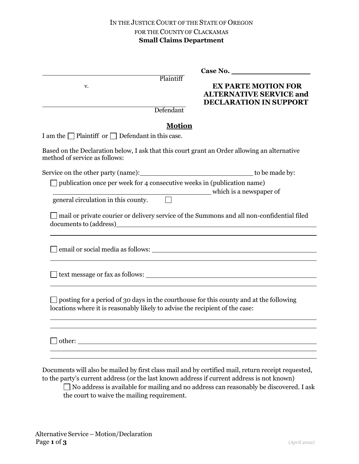|                                                                              |                        | Case No.                                                                                      |
|------------------------------------------------------------------------------|------------------------|-----------------------------------------------------------------------------------------------|
| v.                                                                           | Plaintiff<br>Defendant | <b>EX PARTE MOTION FOR</b><br><b>ALTERNATIVE SERVICE and</b><br><b>DECLARATION IN SUPPORT</b> |
|                                                                              | <b>Motion</b>          |                                                                                               |
| I am the $\Box$ Plaintiff or $\Box$ Defendant in this case.                  |                        |                                                                                               |
| method of service as follows:                                                |                        | Based on the Declaration below, I ask that this court grant an Order allowing an alternative  |
|                                                                              |                        |                                                                                               |
| publication once per week for 4 consecutive weeks in (publication name)      |                        | which is a newspaper of                                                                       |
| general circulation in this county.                                          |                        |                                                                                               |
|                                                                              |                        | mail or private courier or delivery service of the Summons and all non-confidential filed     |
|                                                                              |                        |                                                                                               |
|                                                                              |                        |                                                                                               |
| locations where it is reasonably likely to advise the recipient of the case: |                        | posting for a period of 30 days in the courthouse for this county and at the following        |
|                                                                              |                        |                                                                                               |
|                                                                              |                        |                                                                                               |
|                                                                              |                        |                                                                                               |
|                                                                              |                        |                                                                                               |
|                                                                              |                        |                                                                                               |

Documents will also be mailed by first class mail and by certified mail, return receipt requested, to the party's current address (or the last known address if current address is not known)

 $\Box$  No address is available for mailing and no address can reasonably be discovered. I ask the court to waive the mailing requirement.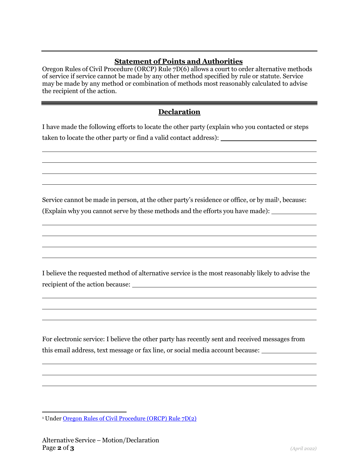### **Statement of Points and Authorities**

Oregon Rules of Civil Procedure (ORCP) Rule 7D(6) allows a court to order alternative methods of service if service cannot be made by any other method specified by rule or statute. Service may be made by any method or combination of methods most reasonably calculated to advise the recipient of the action.

# **Declaration**

I have made the following efforts to locate the other party (explain who you contacted or steps taken to locate the other party or find a valid contact address):

Service cannot be made in person, at the other party's residence or office, or by mail<sup>1</sup>, because: (Explain why you cannot serve by these methods and the efforts you have made):

I believe the requested method of alternative service is the most reasonably likely to advise the recipient of the action because:

For electronic service: I believe the other party has recently sent and received messages from this email address, text message or fax line, or social media account because:

<sup>1</sup> Under Oregon Rules of Civil [Procedure](https://www.oregonlegislature.gov/bills_laws/Pages/orcp.aspx) (ORCP) Rule 7D(2)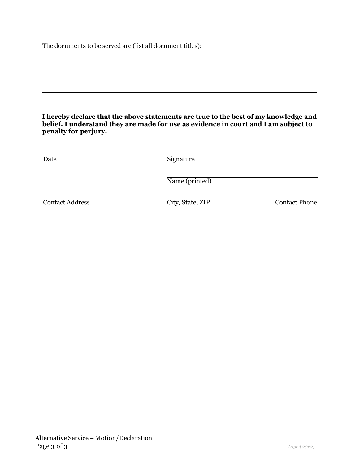The documents to be served are (list all document titles):

|                              | I hereby declare that the above statements are true to the best of my knowledge and<br>belief. I understand they are made for use as evidence in court and I am subject to |                      |
|------------------------------|----------------------------------------------------------------------------------------------------------------------------------------------------------------------------|----------------------|
| penalty for perjury.<br>Date | Signature                                                                                                                                                                  |                      |
|                              | Name (printed)                                                                                                                                                             |                      |
| <b>Contact Address</b>       | City, State, ZIP                                                                                                                                                           | <b>Contact Phone</b> |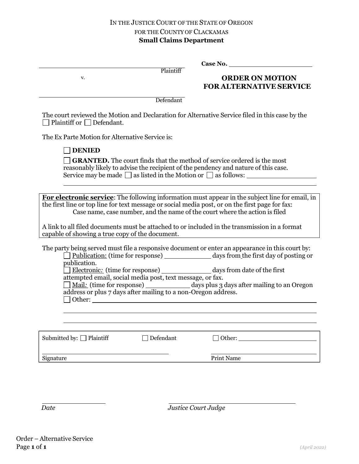| v.                                                                                                                         | Plaintiff | <b>ORDER ON MOTION</b><br><b>FOR ALTERNATIVE SERVICE</b>                                                                                                                                                                                                                                                                                                                           |
|----------------------------------------------------------------------------------------------------------------------------|-----------|------------------------------------------------------------------------------------------------------------------------------------------------------------------------------------------------------------------------------------------------------------------------------------------------------------------------------------------------------------------------------------|
|                                                                                                                            | Defendant |                                                                                                                                                                                                                                                                                                                                                                                    |
| $\Box$ Plaintiff or $\Box$ Defendant.                                                                                      |           | The court reviewed the Motion and Declaration for Alternative Service filed in this case by the                                                                                                                                                                                                                                                                                    |
| The Ex Parte Motion for Alternative Service is:                                                                            |           |                                                                                                                                                                                                                                                                                                                                                                                    |
| <b>DENIED</b>                                                                                                              |           |                                                                                                                                                                                                                                                                                                                                                                                    |
|                                                                                                                            |           | <b>GRANTED.</b> The court finds that the method of service ordered is the most<br>reasonably likely to advise the recipient of the pendency and nature of this case.<br>Service may be made $\square$ as listed in the Motion or $\square$ as follows:                                                                                                                             |
|                                                                                                                            |           |                                                                                                                                                                                                                                                                                                                                                                                    |
| capable of showing a true copy of the document.                                                                            |           | For electronic service: The following information must appear in the subject line for email, in<br>the first line or top line for text message or social media post, or on the first page for fax:<br>Case name, case number, and the name of the court where the action is filed<br>A link to all filed documents must be attached to or included in the transmission in a format |
| publication.                                                                                                               |           | The party being served must file a responsive document or enter an appearance in this court by:<br>Publication: (time for response) days from the first day of posting or<br>Electronic: (time for response) _______________ days from date of the first                                                                                                                           |
| attempted email, social media post, text message, or fax.<br>address or plus 7 days after mailing to a non-Oregon address. |           | Mail: (time for response) ______________ days plus 3 days after mailing to an Oregon                                                                                                                                                                                                                                                                                               |
|                                                                                                                            |           |                                                                                                                                                                                                                                                                                                                                                                                    |
|                                                                                                                            |           |                                                                                                                                                                                                                                                                                                                                                                                    |
| Submitted by: □ Plaintiff                                                                                                  | Defendant | $\Box$ Other: $\_\_$                                                                                                                                                                                                                                                                                                                                                               |
| Signature                                                                                                                  |           | <b>Print Name</b>                                                                                                                                                                                                                                                                                                                                                                  |
|                                                                                                                            |           |                                                                                                                                                                                                                                                                                                                                                                                    |

 *Date Justice Court Judge*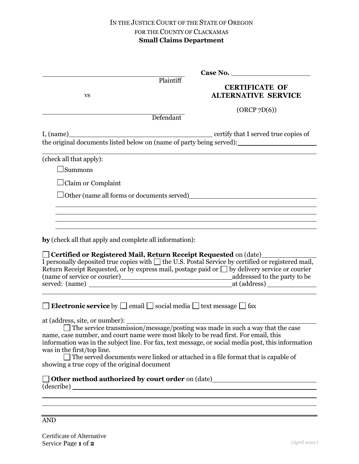|                                                                                                                                                                                                                | Case No.                                                                                |
|----------------------------------------------------------------------------------------------------------------------------------------------------------------------------------------------------------------|-----------------------------------------------------------------------------------------|
| Plaintiff                                                                                                                                                                                                      | <b>CERTIFICATE OF</b>                                                                   |
| <b>VS</b>                                                                                                                                                                                                      | <b>ALTERNATIVE SERVICE</b>                                                              |
|                                                                                                                                                                                                                | (ORCP 7D(6))                                                                            |
| Defendant                                                                                                                                                                                                      |                                                                                         |
|                                                                                                                                                                                                                |                                                                                         |
|                                                                                                                                                                                                                |                                                                                         |
| (check all that apply):                                                                                                                                                                                        |                                                                                         |
| $\Box$ Summons                                                                                                                                                                                                 |                                                                                         |
| $\Box$ Claim or Complaint                                                                                                                                                                                      |                                                                                         |
|                                                                                                                                                                                                                |                                                                                         |
|                                                                                                                                                                                                                |                                                                                         |
|                                                                                                                                                                                                                |                                                                                         |
|                                                                                                                                                                                                                |                                                                                         |
| by (check all that apply and complete all information):                                                                                                                                                        |                                                                                         |
| □ Certified or Registered Mail, Return Receipt Requested on (date)<br>□                                                                                                                                        |                                                                                         |
| I personally deposited true copies with $\Box$ the U.S. Postal Service by certified or registered mail,<br>Return Receipt Requested, or by express mail, postage paid or $\Box$ by delivery service or courier |                                                                                         |
|                                                                                                                                                                                                                |                                                                                         |
|                                                                                                                                                                                                                | served: (name) at (address)                                                             |
|                                                                                                                                                                                                                |                                                                                         |
| $\Box$ <b>Electronic service</b> by $\Box$ email $\Box$ social media $\Box$ text message $\Box$ fax                                                                                                            |                                                                                         |
| at (address, site, or number): $\Box$ The service transmission/message/posting was made in such a way that the case                                                                                            |                                                                                         |
| name, case number, and court name were most likely to be read first. For email, this                                                                                                                           |                                                                                         |
| information was in the subject line. For fax, text message, or social media post, this information                                                                                                             |                                                                                         |
| was in the first/top line.                                                                                                                                                                                     | $\Box$ The served documents were linked or attached in a file format that is capable of |
| showing a true copy of the original document                                                                                                                                                                   |                                                                                         |
|                                                                                                                                                                                                                |                                                                                         |
|                                                                                                                                                                                                                |                                                                                         |
|                                                                                                                                                                                                                |                                                                                         |
|                                                                                                                                                                                                                |                                                                                         |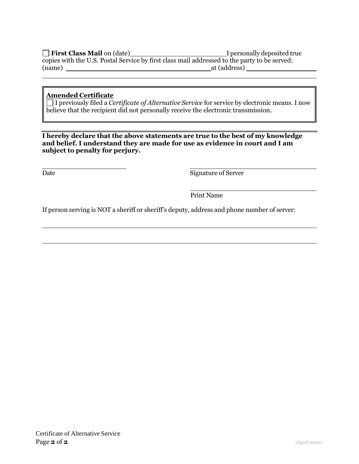**First Class Mail on (date)** I personally deposited true copies with the U.S. Postal Service by first class mail addressed to the party to be served: (name) at (address) and  $\alpha$  at (address) and  $\alpha$  at (address) and  $\alpha$  at (address)

## **Amended Certificate**

I previously filed a *Certificate of Alternative Service* for service by electronic means. I now believe that the recipient did not personally receive the electronic transmission.

#### **I hereby declare that the above statements are true to the best of my knowledge and belief. I understand they are made for use as evidence in court and I am subject to penalty for perjury.**

Date Signature of Server

Print Name

If person serving is NOT a sheriff or sheriff's deputy, address and phone number of server: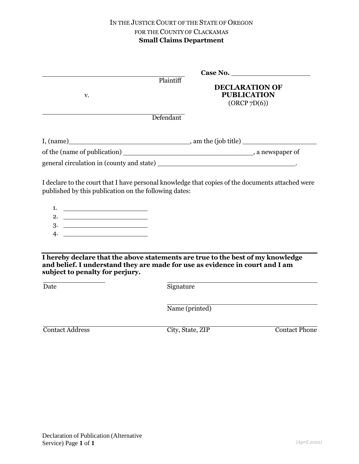| v.                                                                                       | Plaintiff<br><b>DECLARATION OF</b><br><b>PUBLICATION</b><br>(ORCP 7D(6))                                                                                        |
|------------------------------------------------------------------------------------------|-----------------------------------------------------------------------------------------------------------------------------------------------------------------|
|                                                                                          | Defendant                                                                                                                                                       |
|                                                                                          |                                                                                                                                                                 |
|                                                                                          |                                                                                                                                                                 |
|                                                                                          |                                                                                                                                                                 |
| published by this publication on the following dates:                                    | I declare to the court that I have personal knowledge that copies of the documents attached were                                                                |
| 1. $\qquad \qquad$<br>2. $\qquad \qquad$                                                 |                                                                                                                                                                 |
|                                                                                          |                                                                                                                                                                 |
|                                                                                          |                                                                                                                                                                 |
|                                                                                          |                                                                                                                                                                 |
| subject to penalty for perjury.                                                          | I hereby declare that the above statements are true to the best of my knowledge<br>and belief. I understand they are made for use as evidence in court and I am |
| $\Gamma$ <sup><math>\Omega</math></sup> $\Gamma$ <sup><math>\Omega</math></sup> $\Omega$ | Cianatura                                                                                                                                                       |

| Date | Signature      |
|------|----------------|
|      | Name (printed) |
|      |                |

Contact Address City, State, ZIP Contact Phone